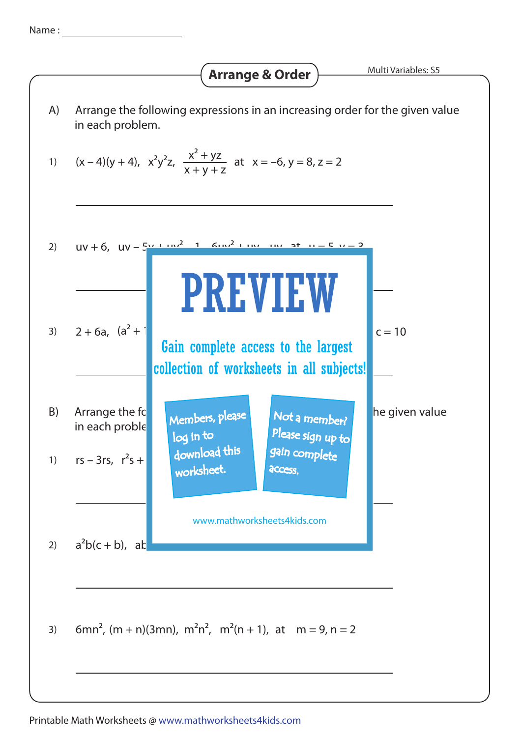